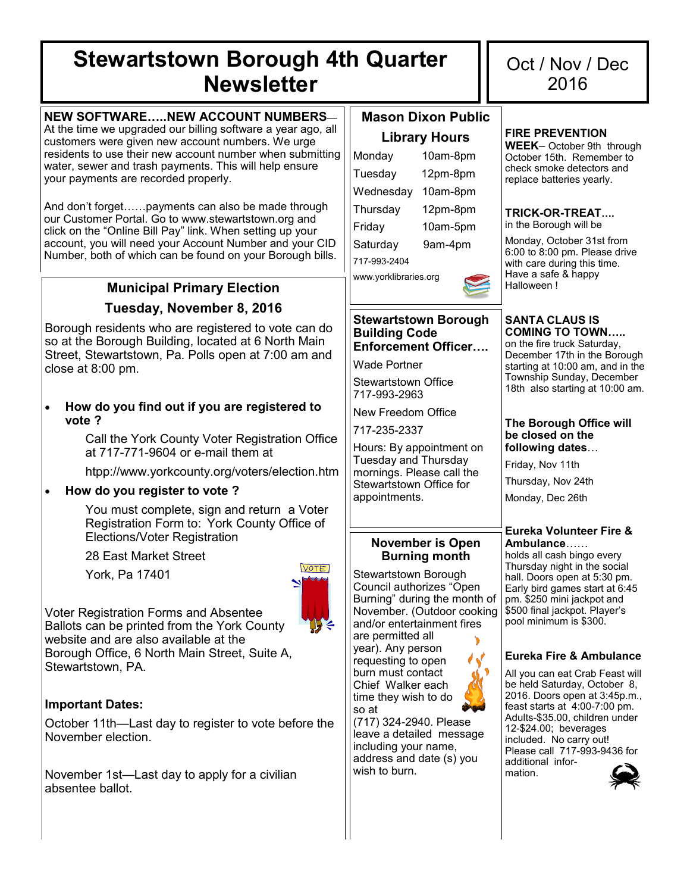# **Stewartstown Borough 4th Quarter Newsletter**

## **NEW SOFTWARE…..NEW ACCOUNT NUMBERS**—

At the time we upgraded our billing software a year ago, all customers were given new account numbers. We urge residents to use their new account number when submitting water, sewer and trash payments. This will help ensure your payments are recorded properly.

And don't forget……payments can also be made through our Customer Portal. Go to www.stewartstown.org and click on the "Online Bill Pay" link. When setting up your account, you will need your Account Number and your CID Number, both of which can be found on your Borough bills.

# **Municipal Primary Election Tuesday, November 8, 2016**

Borough residents who are registered to vote can do so at the Borough Building, located at 6 North Main Street, Stewartstown, Pa. Polls open at 7:00 am and close at 8:00 pm.

 **How do you find out if you are registered to vote ?** 

> Call the York County Voter Registration Office at 717-771-9604 or e-mail them at

htpp://www.yorkcounty.org/voters/election.htm

## **How do you register to vote ?**

You must complete, sign and return a Voter Registration Form to: York County Office of Elections/Voter Registration

28 East Market Street

York, Pa 17401



Voter Registration Forms and Absentee Ballots can be printed from the York County website and are also available at the Borough Office, 6 North Main Street, Suite A, Stewartstown, PA.

## **Important Dates:**

October 11th—Last day to register to vote before the November election.

November 1st—Last day to apply for a civilian absentee ballot.

# **Mason Dixon Public Library Hours**

| ----<br>.             |          |  |  |  |
|-----------------------|----------|--|--|--|
| Monday                | 10am-8pm |  |  |  |
| Tuesday               | 12pm-8pm |  |  |  |
| Wednesday             | 10am-8pm |  |  |  |
| Thursday              | 12pm-8pm |  |  |  |
| Friday                | 10am-5pm |  |  |  |
| Saturday              | 9am-4pm  |  |  |  |
| 717-993-2404          |          |  |  |  |
| www.yorklibraries.org |          |  |  |  |



#### **Stewartstown Borough Building Code Enforcement Officer….**

Wade Portner

Stewartstown Office 717-993-2963

New Freedom Office

717-235-2337

Hours: By appointment on Tuesday and Thursday mornings. Please call the Stewartstown Office for appointments.

## **November is Open Burning month**

Stewartstown Borough Council authorizes "Open Burning" during the month of November. (Outdoor cooking and/or entertainment fires are permitted all year). Any person requesting to open burn must contact Chief Walker each time they wish to do so at

(717) 324-2940. Please leave a detailed message including your name, address and date (s) you wish to burn.



#### **FIRE PREVENTION**

**WEEK**– October 9th through October 15th. Remember to check smoke detectors and replace batteries yearly.

#### **TRICK-OR-TREAT….**

in the Borough will be

Monday, October 31st from 6:00 to 8:00 pm. Please drive with care during this time. Have a safe & happy Halloween !

#### **SANTA CLAUS IS COMING TO TOWN…..**  on the fire truck Saturday,

December 17th in the Borough starting at 10:00 am, and in the Township Sunday, December 18th also starting at 10:00 am.

#### **The Borough Office will be closed on the following dates**…

Friday, Nov 11th

Thursday, Nov 24th

Monday, Dec 26th

#### **Eureka Volunteer Fire & Ambulance**……

holds all cash bingo every Thursday night in the social hall. Doors open at 5:30 pm. Early bird games start at 6:45 pm. \$250 mini jackpot and \$500 final jackpot. Player's pool minimum is \$300.

## **Eureka Fire & Ambulance**

All you can eat Crab Feast will be held Saturday, October 8, 2016. Doors open at 3:45p.m., feast starts at 4:00-7:00 pm. Adults-\$35.00, children under 12-\$24.00; beverages included. No carry out! Please call 717-993-9436 for additional information.

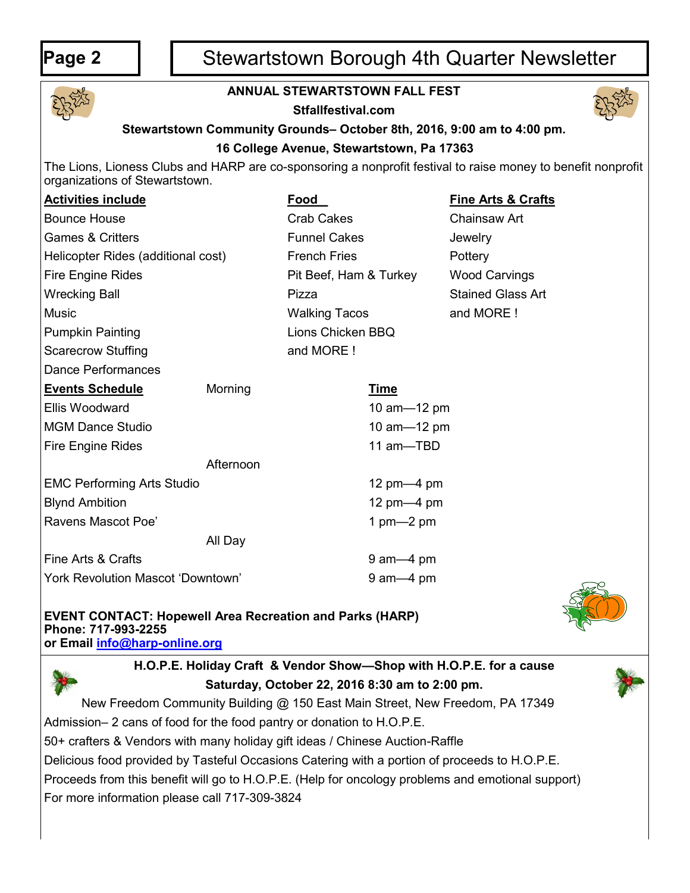# **Page 2** | | Stewartstown Borough 4th Quarter Newsletter



## **ANNUAL STEWARTSTOWN FALL FEST**

**Stfallfestival.com**



# **Stewartstown Community Grounds– October 8th, 2016, 9:00 am to 4:00 pm. 16 College Avenue, Stewartstown, Pa 17363**

The Lions, Lioness Clubs and HARP are co-sponsoring a nonprofit festival to raise money to benefit nonprofit organizations of Stewartstown.

| <b>Activities include</b>                |           | Food                   |                | <b>Fine Arts &amp; Crafts</b> |  |
|------------------------------------------|-----------|------------------------|----------------|-------------------------------|--|
| <b>Bounce House</b>                      |           | <b>Crab Cakes</b>      |                | Chainsaw Art                  |  |
| <b>Games &amp; Critters</b>              |           | <b>Funnel Cakes</b>    |                | Jewelry                       |  |
| Helicopter Rides (additional cost)       |           | <b>French Fries</b>    |                | Pottery                       |  |
| <b>Fire Engine Rides</b>                 |           | Pit Beef, Ham & Turkey |                | <b>Wood Carvings</b>          |  |
| <b>Wrecking Ball</b>                     |           | Pizza                  |                | <b>Stained Glass Art</b>      |  |
| <b>Music</b>                             |           | <b>Walking Tacos</b>   |                | and MORE!                     |  |
| <b>Pumpkin Painting</b>                  |           | Lions Chicken BBQ      |                |                               |  |
| <b>Scarecrow Stuffing</b>                |           | and MORE!              |                |                               |  |
| <b>Dance Performances</b>                |           |                        |                |                               |  |
| <b>Events Schedule</b>                   | Morning   |                        | <u>Time</u>    |                               |  |
| <b>Ellis Woodward</b>                    |           |                        | 10 am-12 pm    |                               |  |
| <b>MGM Dance Studio</b>                  |           |                        | 10 am-12 pm    |                               |  |
| Fire Engine Rides                        |           |                        | 11 am-TBD      |                               |  |
|                                          | Afternoon |                        |                |                               |  |
| <b>EMC Performing Arts Studio</b>        |           |                        | 12 $pm-4$ $pm$ |                               |  |
| <b>Blynd Ambition</b>                    |           |                        | 12 $pm-4$ $pm$ |                               |  |
| Ravens Mascot Poe'                       |           |                        | 1 $pm-2$ pm    |                               |  |
|                                          | All Day   |                        |                |                               |  |
| Fine Arts & Crafts                       |           |                        | $9$ am $-4$ pm |                               |  |
| <b>York Revolution Mascot 'Downtown'</b> |           |                        | $9$ am $-4$ pm |                               |  |
|                                          |           |                        |                |                               |  |

# **EVENT CONTACT: Hopewell Area Recreation and Parks (HARP) Phone: 717-993-2255**

**or Email [info@harp](mailto:info@harp-online.org)-online.org**



**H.O.P.E. Holiday Craft & Vendor Show—Shop with H.O.P.E. for a cause Saturday, October 22, 2016 8:30 am to 2:00 pm.**

New Freedom Community Building @ 150 East Main Street, New Freedom, PA 17349

Admission– 2 cans of food for the food pantry or donation to H.O.P.E.

50+ crafters & Vendors with many holiday gift ideas / Chinese Auction-Raffle

Delicious food provided by Tasteful Occasions Catering with a portion of proceeds to H.O.P.E.

Proceeds from this benefit will go to H.O.P.E. (Help for oncology problems and emotional support)

For more information please call 717-309-3824

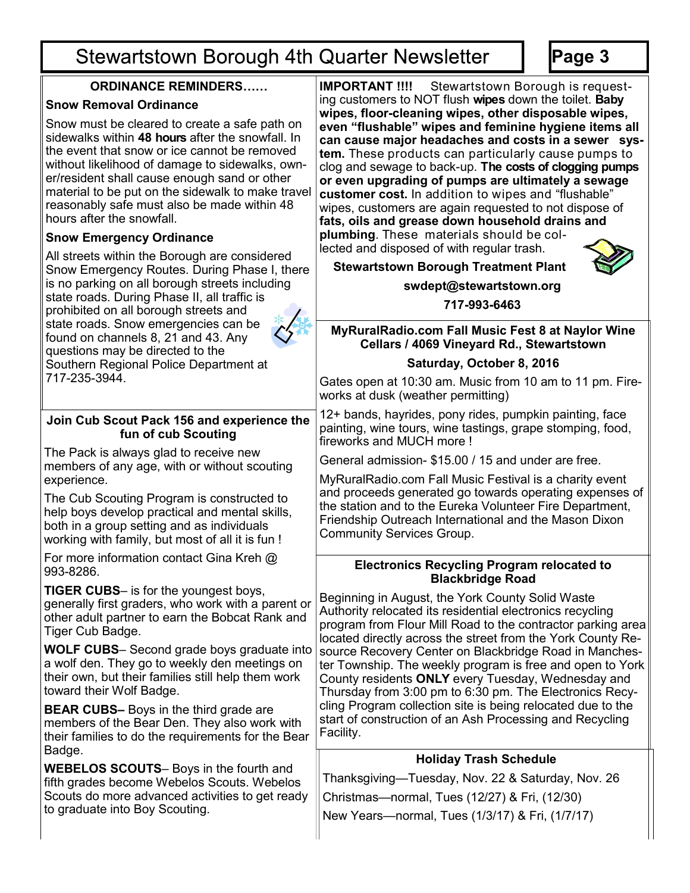# **Stewartstown Borough 4th Quarter Newsletter**

**ORDINANCE REMINDERS……**

**Snow Removal Ordinance**

993-8286.

Badge.

**Page 3**

**IMPORTANT !!!!** Stewartstown Borough is requesting customers to NOT flush **wipes** down the toilet. **Baby wipes, floor-cleaning wipes, other disposable wipes,** 

#### **even "flushable" wipes and feminine hygiene items all can cause major headaches and costs in a sewer system.** These products can particularly cause pumps to clog and sewage to back-up. **The costs of clogging pumps or even upgrading of pumps are ultimately a sewage customer cost.** In addition to wipes and "flushable" wipes, customers are again requested to not dispose of **fats, oils and grease down household drains and plumbing**. These materials should be collected and disposed of with regular trash. **Stewartstown Borough Treatment Plant swdept@stewartstown.org 717-993-6463** Snow must be cleared to create a safe path on sidewalks within **48 hours** after the snowfall. In the event that snow or ice cannot be removed without likelihood of damage to sidewalks, owner/resident shall cause enough sand or other material to be put on the sidewalk to make travel reasonably safe must also be made within 48 hours after the snowfall. **Snow Emergency Ordinance** All streets within the Borough are considered Snow Emergency Routes. During Phase I, there is no parking on all borough streets including state roads. During Phase II, all traffic is prohibited on all borough streets and state roads. Snow emergencies can be found on channels 8, 21 and 43. Any questions may be directed to the Southern Regional Police Department at 717-235-3944. **MyRuralRadio.com Fall Music Fest 8 at Naylor Wine Cellars / 4069 Vineyard Rd., Stewartstown Saturday, October 8, 2016**  Gates open at 10:30 am. Music from 10 am to 11 pm. Fireworks at dusk (weather permitting) 12+ bands, hayrides, pony rides, pumpkin painting, face painting, wine tours, wine tastings, grape stomping, food, fireworks and MUCH more ! General admission- \$15.00 / 15 and under are free. MyRuralRadio.com Fall Music Festival is a charity event and proceeds generated go towards operating expenses of the station and to the Eureka Volunteer Fire Department, Friendship Outreach International and the Mason Dixon Community Services Group. **Join Cub Scout Pack 156 and experience the fun of cub Scouting** The Pack is always glad to receive new members of any age, with or without scouting experience. The Cub Scouting Program is constructed to help boys develop practical and mental skills, both in a group setting and as individuals working with family, but most of all it is fun ! For more information contact Gina Kreh @ **TIGER CUBS**– is for the youngest boys, generally first graders, who work with a parent or other adult partner to earn the Bobcat Rank and Tiger Cub Badge. **WOLF CUBS**– Second grade boys graduate into a wolf den. They go to weekly den meetings on their own, but their families still help them work toward their Wolf Badge. **BEAR CUBS–** Boys in the third grade are members of the Bear Den. They also work with their families to do the requirements for the Bear **WEBELOS SCOUTS**– Boys in the fourth and fifth grades become Webelos Scouts. Webelos Scouts do more advanced activities to get ready to graduate into Boy Scouting. **Electronics Recycling Program relocated to Blackbridge Road** Beginning in August, the York County Solid Waste Authority relocated its residential electronics recycling program from Flour Mill Road to the contractor parking area located directly across the street from the York County Resource Recovery Center on Blackbridge Road in Manchester Township. The weekly program is free and open to York County residents **ONLY** every Tuesday, Wednesday and Thursday from 3:00 pm to 6:30 pm. The Electronics Recycling Program collection site is being relocated due to the start of construction of an Ash Processing and Recycling Facility. **Holiday Trash Schedule** Thanksgiving—Tuesday, Nov. 22 & Saturday, Nov. 26 Christmas—normal, Tues (12/27) & Fri, (12/30) New Years—normal, Tues (1/3/17) & Fri, (1/7/17)